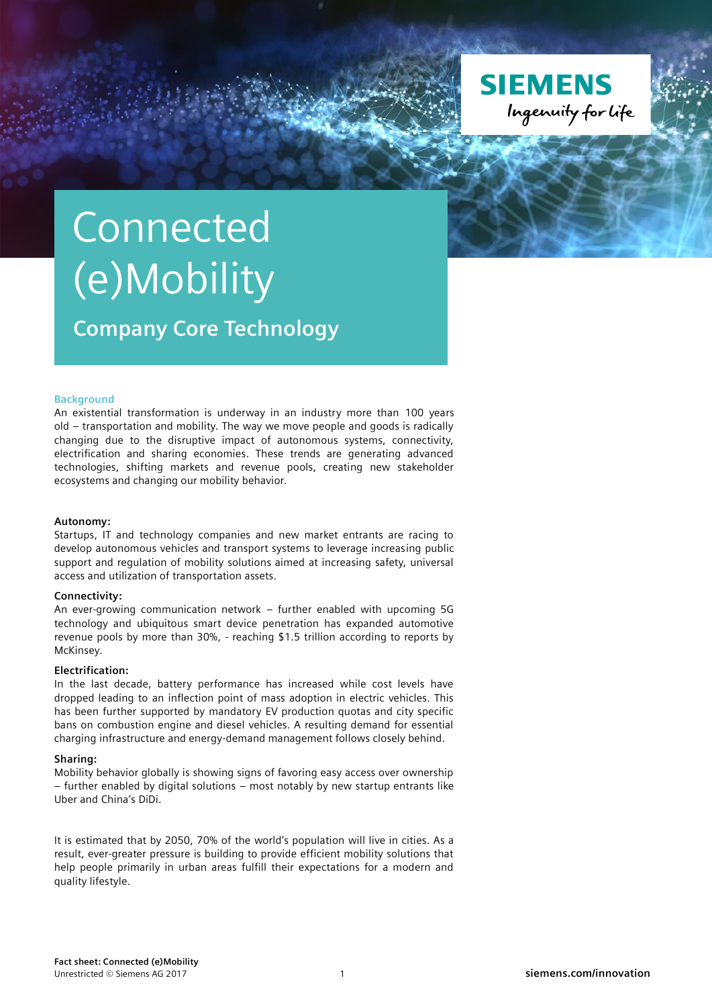

# **Connected** (e)Mobility

**Company Core Technology**

# **Background**

An existential transformation is underway in an industry more than 100 years old – transportation and mobility. The way we move people and goods is radically changing due to the disruptive impact of autonomous systems, connectivity, electrification and sharing economies. These trends are generating advanced technologies, shifting markets and revenue pools, creating new stakeholder ecosystems and changing our mobility behavior.

#### **Autonomy:**

Startups, IT and technology companies and new market entrants are racing to develop autonomous vehicles and transport systems to leverage increasing public support and regulation of mobility solutions aimed at increasing safety, universal access and utilization of transportation assets.

# **Connectivity:**

An ever-growing communication network – further enabled with upcoming 5G technology and ubiquitous smart device penetration has expanded automotive revenue pools by more than 30%, - reaching \$1.5 trillion according to reports by McKinsey.

#### **Electrification:**

In the last decade, battery performance has increased while cost levels have dropped leading to an inflection point of mass adoption in electric vehicles. This has been further supported by mandatory EV production quotas and city specific bans on combustion engine and diesel vehicles. A resulting demand for essential charging infrastructure and energy-demand management follows closely behind.

## **Sharing:**

Mobility behavior globally is showing signs of favoring easy access over ownership – further enabled by digital solutions – most notably by new startup entrants like Uber and China's DiDi.

It is estimated that by 2050, 70% of the world's population will live in cities. As a result, ever-greater pressure is building to provide efficient mobility solutions that help people primarily in urban areas fulfill their expectations for a modern and quality lifestyle.